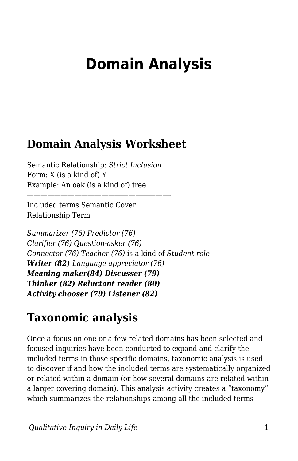# **Domain Analysis**

### **Domain Analysis Worksheet**

Semantic Relationship: *Strict Inclusion* Form: X (is a kind of) Y Example: An oak (is a kind of) tree

—————————————————————-

Included terms Semantic Cover Relationship Term

*Summarizer (76) Predictor (76) Clarifier (76) Question-asker (76) Connector (76) Teacher (76)* is a kind of *Student role Writer (82) Language appreciator (76) Meaning maker(84) Discusser (79) Thinker (82) Reluctant reader (80) Activity chooser (79) Listener (82)*

## **Taxonomic analysis**

Once a focus on one or a few related domains has been selected and focused inquiries have been conducted to expand and clarify the included terms in those specific domains, taxonomic analysis is used to discover if and how the included terms are systematically organized or related within a domain (or how several domains are related within a larger covering domain). This analysis activity creates a "taxonomy" which summarizes the relationships among all the included terms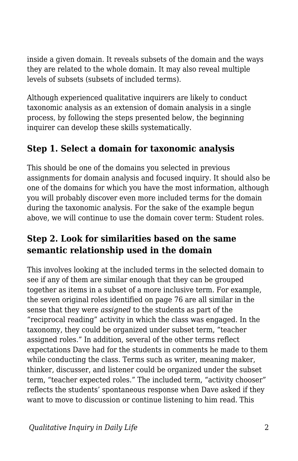inside a given domain. It reveals subsets of the domain and the ways they are related to the whole domain. It may also reveal multiple levels of subsets (subsets of included terms).

Although experienced qualitative inquirers are likely to conduct taxonomic analysis as an extension of domain analysis in a single process, by following the steps presented below, the beginning inquirer can develop these skills systematically.

#### **Step 1. Select a domain for taxonomic analysis**

This should be one of the domains you selected in previous assignments for domain analysis and focused inquiry. It should also be one of the domains for which you have the most information, although you will probably discover even more included terms for the domain during the taxonomic analysis. For the sake of the example begun above, we will continue to use the domain cover term: Student roles.

#### **Step 2. Look for similarities based on the same semantic relationship used in the domain**

This involves looking at the included terms in the selected domain to see if any of them are similar enough that they can be grouped together as items in a subset of a more inclusive term. For example, the seven original roles identified on page 76 are all similar in the sense that they were *assigned* to the students as part of the "reciprocal reading" activity in which the class was engaged. In the taxonomy, they could be organized under subset term, "teacher assigned roles." In addition, several of the other terms reflect expectations Dave had for the students in comments he made to them while conducting the class. Terms such as writer, meaning maker, thinker, discusser, and listener could be organized under the subset term, "teacher expected roles." The included term, "activity chooser" reflects the students' spontaneous response when Dave asked if they want to move to discussion or continue listening to him read. This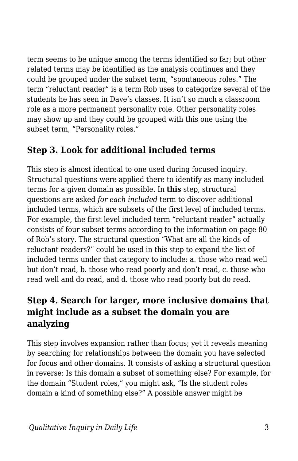term seems to be unique among the terms identified so far; but other related terms may be identified as the analysis continues and they could be grouped under the subset term, "spontaneous roles." The term "reluctant reader" is a term Rob uses to categorize several of the students he has seen in Dave's classes. It isn't so much a classroom role as a more permanent personality role. Other personality roles may show up and they could be grouped with this one using the subset term, "Personality roles."

#### **Step 3. Look for additional included terms**

This step is almost identical to one used during focused inquiry. Structural questions were applied there to identify as many included terms for a given domain as possible. In **this** step, structural questions are asked *for each included* term to discover additional included terms, which are subsets of the first level of included terms. For example, the first level included term "reluctant reader" actually consists of four subset terms according to the information on page 80 of Rob's story. The structural question "What are all the kinds of reluctant readers?" could be used in this step to expand the list of included terms under that category to include: a. those who read well but don't read, b. those who read poorly and don't read, c. those who read well and do read, and d. those who read poorly but do read.

#### **Step 4. Search for larger, more inclusive domains that might include as a subset the domain you are analyzing**

This step involves expansion rather than focus; yet it reveals meaning by searching for relationships between the domain you have selected for focus and other domains. It consists of asking a structural question in reverse: Is this domain a subset of something else? For example, for the domain "Student roles," you might ask, "Is the student roles domain a kind of something else?" A possible answer might be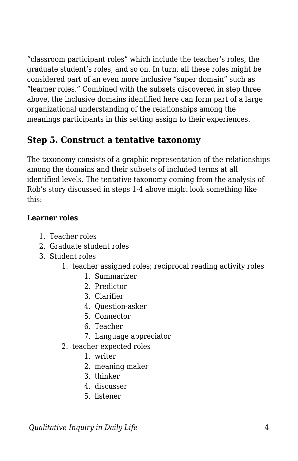"classroom participant roles" which include the teacher's roles, the graduate student's roles, and so on. In turn, all these roles might be considered part of an even more inclusive "super domain" such as "learner roles." Combined with the subsets discovered in step three above, the inclusive domains identified here can form part of a large organizational understanding of the relationships among the meanings participants in this setting assign to their experiences.

#### **Step 5. Construct a tentative taxonomy**

The taxonomy consists of a graphic representation of the relationships among the domains and their subsets of included terms at all identified levels. The tentative taxonomy coming from the analysis of Rob's story discussed in steps 1-4 above might look something like this:

#### **Learner roles**

- 1. Teacher roles
- 2. Graduate student roles
- 3. Student roles
	- 1. teacher assigned roles; reciprocal reading activity roles
		- 1. Summarizer
		- 2. Predictor
		- 3. Clarifier
		- 4. Question-asker
		- 5. Connector
		- 6. Teacher
		- 7. Language appreciator
	- 2. teacher expected roles
		- 1. writer
		- 2. meaning maker
		- 3. thinker
		- 4. discusser
		- 5. listener

*<u>Oualitative Inquiry in Daily Life</u>*  $\frac{4}{4}$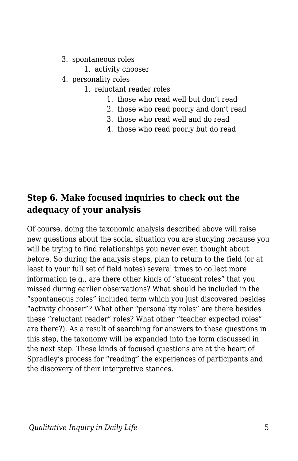- 3. spontaneous roles
	- 1. activity chooser
- 4. personality roles
	- 1. reluctant reader roles
		- 1. those who read well but don't read
		- 2. those who read poorly and don't read
		- 3. those who read well and do read
		- 4. those who read poorly but do read

#### **Step 6. Make focused inquiries to check out the adequacy of your analysis**

Of course, doing the taxonomic analysis described above will raise new questions about the social situation you are studying because you will be trying to find relationships you never even thought about before. So during the analysis steps, plan to return to the field (or at least to your full set of field notes) several times to collect more information (e.g., are there other kinds of "student roles" that you missed during earlier observations? What should be included in the "spontaneous roles" included term which you just discovered besides "activity chooser"? What other "personality roles" are there besides these "reluctant reader" roles? What other "teacher expected roles" are there?). As a result of searching for answers to these questions in this step, the taxonomy will be expanded into the form discussed in the next step. These kinds of focused questions are at the heart of Spradley's process for "reading" the experiences of participants and the discovery of their interpretive stances.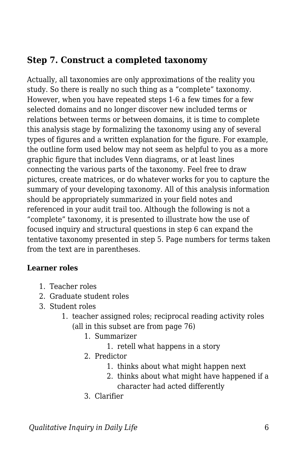#### **Step 7. Construct a completed taxonomy**

Actually, all taxonomies are only approximations of the reality you study. So there is really no such thing as a "complete" taxonomy. However, when you have repeated steps 1-6 a few times for a few selected domains and no longer discover new included terms or relations between terms or between domains, it is time to complete this analysis stage by formalizing the taxonomy using any of several types of figures and a written explanation for the figure. For example, the outline form used below may not seem as helpful to you as a more graphic figure that includes Venn diagrams, or at least lines connecting the various parts of the taxonomy. Feel free to draw pictures, create matrices, or do whatever works for you to capture the summary of your developing taxonomy. All of this analysis information should be appropriately summarized in your field notes and referenced in your audit trail too. Although the following is not a "complete" taxonomy, it is presented to illustrate how the use of focused inquiry and structural questions in step 6 can expand the tentative taxonomy presented in step 5. Page numbers for terms taken from the text are in parentheses.

#### **Learner roles**

- 1. Teacher roles
- 2. Graduate student roles
- 3. Student roles
	- 1. teacher assigned roles; reciprocal reading activity roles (all in this subset are from page 76)
		- 1. Summarizer
			- 1. retell what happens in a story
		- 2. Predictor
			- 1. thinks about what might happen next
			- 2. thinks about what might have happened if a character had acted differently
		- 3. Clarifier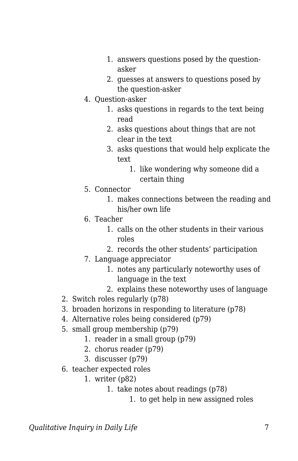- 1. answers questions posed by the questionasker
- 2. guesses at answers to questions posed by the question-asker
- 4. Question-asker
	- 1. asks questions in regards to the text being read
	- 2. asks questions about things that are not clear in the text
	- 3. asks questions that would help explicate the text
		- 1. like wondering why someone did a certain thing
- 5. Connector
	- 1. makes connections between the reading and his/her own life
- 6. Teacher
	- 1. calls on the other students in their various roles
	- 2. records the other students' participation
- 7. Language appreciator
	- 1. notes any particularly noteworthy uses of language in the text
	- 2. explains these noteworthy uses of language
- 2. Switch roles regularly (p78)
- 3. broaden horizons in responding to literature (p78)
- 4. Alternative roles being considered (p79)
- 5. small group membership (p79)
	- 1. reader in a small group (p79)
	- 2. chorus reader (p79)
	- 3. discusser (p79)
- 6. teacher expected roles
	- 1. writer (p82)
		- 1. take notes about readings (p78)
			- 1. to get help in new assigned roles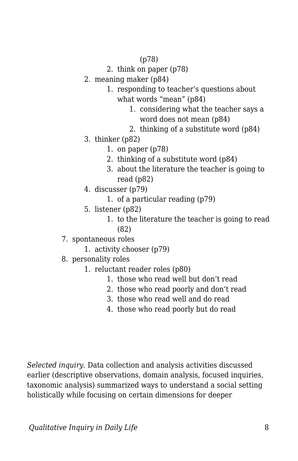#### (p78)

- 2. think on paper (p78)
- 2. meaning maker (p84)
	- 1. responding to teacher's questions about what words "mean" (p84)
		- 1. considering what the teacher says a word does not mean (p84)
		- 2. thinking of a substitute word (p84)
- 3. thinker (p82)
	- 1. on paper (p78)
	- 2. thinking of a substitute word (p84)
	- 3. about the literature the teacher is going to read (p82)
- 4. discusser (p79)
	- 1. of a particular reading (p79)
- 5. listener (p82)
	- 1. to the literature the teacher is going to read (82)
- 7. spontaneous roles
	- 1. activity chooser (p79)
- 8. personality roles
	- 1. reluctant reader roles (p80)
		- 1. those who read well but don't read
		- 2. those who read poorly and don't read
		- 3. those who read well and do read
		- 4. those who read poorly but do read

*Selected inquiry.* Data collection and analysis activities discussed earlier (descriptive observations, domain analysis, focused inquiries, taxonomic analysis) summarized ways to understand a social setting holistically while focusing on certain dimensions for deeper

*Qualitative Inquiry in Daily Life* 8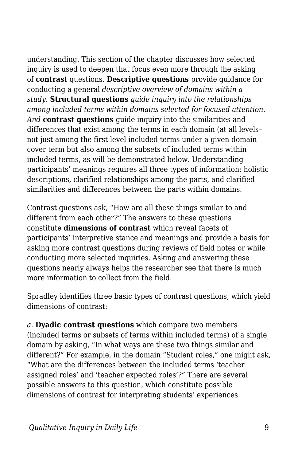understanding. This section of the chapter discusses how selected inquiry is used to deepen that focus even more through the asking of **contrast** questions. **Descriptive questions** provide guidance for conducting a general *descriptive overview of domains within a study.* **Structural questions** *guide inquiry into the relationships among included terms within domains selected for focused attention. And* **contrast questions** guide inquiry into the similarities and differences that exist among the terms in each domain (at all levels– not just among the first level included terms under a given domain cover term but also among the subsets of included terms within included terms, as will be demonstrated below. Understanding participants' meanings requires all three types of information: holistic descriptions, clarified relationships among the parts, and clarified similarities and differences between the parts within domains.

Contrast questions ask, "How are all these things similar to and different from each other?" The answers to these questions constitute **dimensions of contrast** which reveal facets of participants' interpretive stance and meanings and provide a basis for asking more contrast questions during reviews of field notes or while conducting more selected inquiries. Asking and answering these questions nearly always helps the researcher see that there is much more information to collect from the field.

Spradley identifies three basic types of contrast questions, which yield dimensions of contrast:

*a.* **Dyadic contrast questions** which compare two members (included terms or subsets of terms within included terms) of a single domain by asking, "In what ways are these two things similar and different?" For example, in the domain "Student roles," one might ask, "What are the differences between the included terms 'teacher assigned roles' and 'teacher expected roles'?" There are several possible answers to this question, which constitute possible dimensions of contrast for interpreting students' experiences.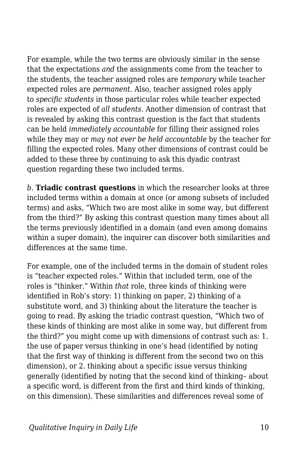For example, while the two terms are obviously similar in the sense that the expectations *and* the assignments come from the teacher to the students, the teacher assigned roles are *temporary* while teacher expected roles are *permanent*. Also, teacher assigned roles apply to *specific students* in those particular roles while teacher expected roles are expected of *all students*. Another dimension of contrast that is revealed by asking this contrast question is the fact that students can be held *immediately accountable* for filling their assigned roles while they may or *may not ever be held accountable* by the teacher for filling the expected roles. Many other dimensions of contrast could be added to these three by continuing to ask this dyadic contrast question regarding these two included terms.

*b.* **Triadic contrast questions** in which the researcher looks at three included terms within a domain at once (or among subsets of included terms) and asks, "Which two are most alike in some way, but different from the third?" By asking this contrast question many times about all the terms previously identified in a domain (and even among domains within a super domain), the inquirer can discover both similarities and differences at the same time.

For example, one of the included terms in the domain of student roles is "teacher expected roles." Within that included term, one of the roles is "thinker." Within *that* role, three kinds of thinking were identified in Rob's story: 1) thinking on paper, 2) thinking of a substitute word, and 3) thinking about the literature the teacher is going to read. By asking the triadic contrast question, "Which two of these kinds of thinking are most alike in some way, but different from the third?" you might come up with dimensions of contrast such as: 1. the use of paper versus thinking in one's head (identified by noting that the first way of thinking is different from the second two on this dimension), or 2. thinking about a specific issue versus thinking generally (identified by noting that the second kind of thinking– about a specific word, is different from the first and third kinds of thinking, on this dimension). These similarities and differences reveal some of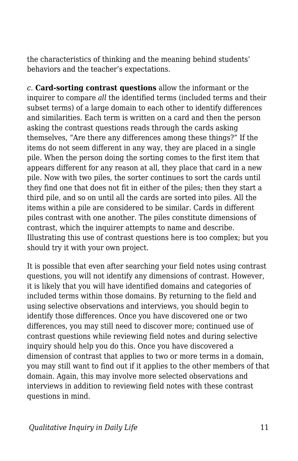the characteristics of thinking and the meaning behind students' behaviors and the teacher's expectations.

*c.* **Card-sorting contrast questions** allow the informant or the inquirer to compare *all* the identified terms (included terms and their subset terms) of a large domain to each other to identify differences and similarities. Each term is written on a card and then the person asking the contrast questions reads through the cards asking themselves, "Are there any differences among these things?" If the items do not seem different in any way, they are placed in a single pile. When the person doing the sorting comes to the first item that appears different for any reason at all, they place that card in a new pile. Now with two piles, the sorter continues to sort the cards until they find one that does not fit in either of the piles; then they start a third pile, and so on until all the cards are sorted into piles. All the items within a pile are considered to be similar. Cards in different piles contrast with one another. The piles constitute dimensions of contrast, which the inquirer attempts to name and describe. Illustrating this use of contrast questions here is too complex; but you should try it with your own project.

It is possible that even after searching your field notes using contrast questions, you will not identify any dimensions of contrast. However, it is likely that you will have identified domains and categories of included terms within those domains. By returning to the field and using selective observations and interviews, you should begin to identify those differences. Once you have discovered one or two differences, you may still need to discover more; continued use of contrast questions while reviewing field notes and during selective inquiry should help you do this. Once you have discovered a dimension of contrast that applies to two or more terms in a domain, you may still want to find out if it applies to the other members of that domain. Again, this may involve more selected observations and interviews in addition to reviewing field notes with these contrast questions in mind.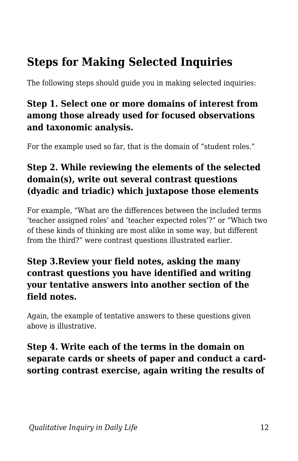## **Steps for Making Selected Inquiries**

The following steps should guide you in making selected inquiries:

#### **Step 1. Select one or more domains of interest from among those already used for focused observations and taxonomic analysis.**

For the example used so far, that is the domain of "student roles."

### **Step 2. While reviewing the elements of the selected domain(s), write out several contrast questions (dyadic and triadic) which juxtapose those elements**

For example, "What are the differences between the included terms 'teacher assigned roles' and 'teacher expected roles'?" or "Which two of these kinds of thinking are most alike in some way, but different from the third?" were contrast questions illustrated earlier.

#### **Step 3.Review your field notes, asking the many contrast questions you have identified and writing your tentative answers into another section of the field notes.**

Again, the example of tentative answers to these questions given above is illustrative.

### **Step 4. Write each of the terms in the domain on separate cards or sheets of paper and conduct a cardsorting contrast exercise, again writing the results of**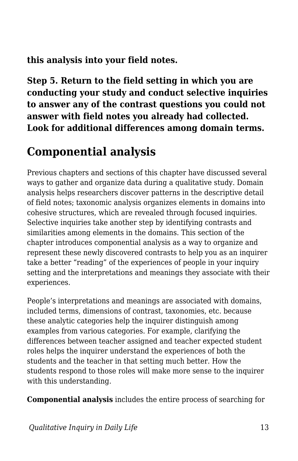**this analysis into your field notes.**

**Step 5. Return to the field setting in which you are conducting your study and conduct selective inquiries to answer any of the contrast questions you could not answer with field notes you already had collected. Look for additional differences among domain terms.**

## **Componential analysis**

Previous chapters and sections of this chapter have discussed several ways to gather and organize data during a qualitative study. Domain analysis helps researchers discover patterns in the descriptive detail of field notes; taxonomic analysis organizes elements in domains into cohesive structures, which are revealed through focused inquiries. Selective inquiries take another step by identifying contrasts and similarities among elements in the domains. This section of the chapter introduces componential analysis as a way to organize and represent these newly discovered contrasts to help you as an inquirer take a better "reading" of the experiences of people in your inquiry setting and the interpretations and meanings they associate with their experiences.

People's interpretations and meanings are associated with domains, included terms, dimensions of contrast, taxonomies, etc. because these analytic categories help the inquirer distinguish among examples from various categories. For example, clarifying the differences between teacher assigned and teacher expected student roles helps the inquirer understand the experiences of both the students and the teacher in that setting much better. How the students respond to those roles will make more sense to the inquirer with this understanding.

**Componential analysis** includes the entire process of searching for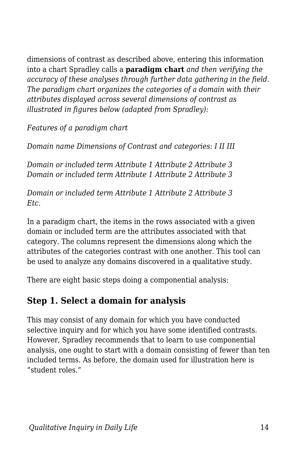dimensions of contrast as described above, entering this information into a chart Spradley calls a **paradigm chart** *and then verifying the accuracy of these analyses through further data gathering in the field. The paradigm chart organizes the categories of a domain with their attributes displayed across several dimensions of contrast as illustrated in figures below (adapted from Spradley):*

*Features of a paradigm chart*

*Domain name Dimensions of Contrast and categories: I II III*

*Domain or included term Attribute 1 Attribute 2 Attribute 3 Domain or included term Attribute 1 Attribute 2 Attribute 3*

*Domain or included term Attribute 1 Attribute 2 Attribute 3 Etc.*

In a paradigm chart, the items in the rows associated with a given domain or included term are the attributes associated with that category. The columns represent the dimensions along which the attributes of the categories contrast with one another. This tool can be used to analyze any domains discovered in a qualitative study.

There are eight basic steps doing a componential analysis:

#### **Step 1. Select a domain for analysis**

This may consist of any domain for which you have conducted selective inquiry and for which you have some identified contrasts. However, Spradley recommends that to learn to use componential analysis, one ought to start with a domain consisting of fewer than ten included terms. As before, the domain used for illustration here is "student roles."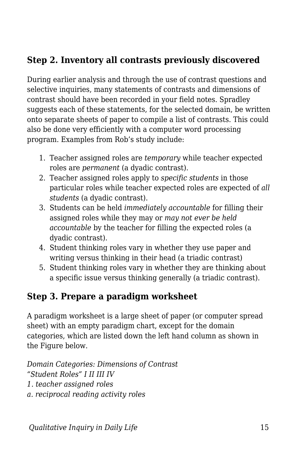### **Step 2. Inventory all contrasts previously discovered**

During earlier analysis and through the use of contrast questions and selective inquiries, many statements of contrasts and dimensions of contrast should have been recorded in your field notes. Spradley suggests each of these statements, for the selected domain, be written onto separate sheets of paper to compile a list of contrasts. This could also be done very efficiently with a computer word processing program. Examples from Rob's study include:

- 1. Teacher assigned roles are *temporary* while teacher expected roles are *permanent* (a dyadic contrast).
- 2. Teacher assigned roles apply to *specific students* in those particular roles while teacher expected roles are expected of *all students* (a dyadic contrast).
- 3. Students can be held *immediately accountable* for filling their assigned roles while they may or *may not ever be held accountable* by the teacher for filling the expected roles (a dyadic contrast).
- 4. Student thinking roles vary in whether they use paper and writing versus thinking in their head (a triadic contrast)
- 5. Student thinking roles vary in whether they are thinking about a specific issue versus thinking generally (a triadic contrast).

#### **Step 3. Prepare a paradigm worksheet**

A paradigm worksheet is a large sheet of paper (or computer spread sheet) with an empty paradigm chart, except for the domain categories, which are listed down the left hand column as shown in the Figure below.

*Domain Categories: Dimensions of Contrast "Student Roles" I II III IV 1. teacher assigned roles a. reciprocal reading activity roles*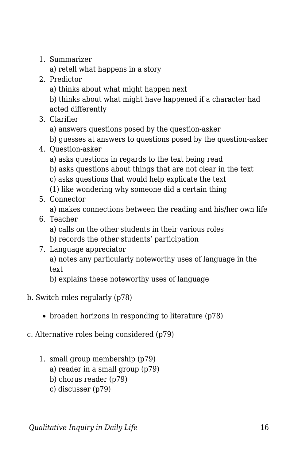1. Summarizer

a) retell what happens in a story

- 2. Predictor
	- a) thinks about what might happen next

b) thinks about what might have happened if a character had acted differently

- 3. Clarifier
	- a) answers questions posed by the question-asker
	- b) guesses at answers to questions posed by the question-asker
- 4. Question-asker
	- a) asks questions in regards to the text being read
	- b) asks questions about things that are not clear in the text
	- c) asks questions that would help explicate the text
	- (1) like wondering why someone did a certain thing
- 5. Connector

a) makes connections between the reading and his/her own life

- 6. Teacher
	- a) calls on the other students in their various roles
	- b) records the other students' participation
- 7. Language appreciator

a) notes any particularly noteworthy uses of language in the text

b) explains these noteworthy uses of language

- b. Switch roles regularly (p78)
	- $\bullet$  broaden horizons in responding to literature (p78)
- c. Alternative roles being considered (p79)
	- 1. small group membership (p79)
		- a) reader in a small group (p79)
		- b) chorus reader (p79)
		- c) discusser (p79)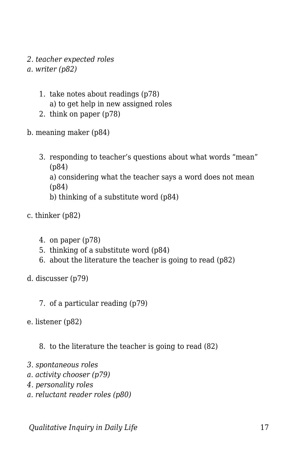- *2. teacher expected roles*
- *a. writer (p82)*
	- 1. take notes about readings (p78) a) to get help in new assigned roles
	- 2. think on paper (p78)
- b. meaning maker (p84)
	- 3. responding to teacher's questions about what words "mean" (p84) a) considering what the teacher says a word does not mean (p84) b) thinking of a substitute word (p84)
- c. thinker (p82)
	- 4. on paper (p78)
	- 5. thinking of a substitute word (p84)
	- 6. about the literature the teacher is going to read (p82)
- d. discusser (p79)
	- 7. of a particular reading (p79)
- e. listener (p82)
	- 8. to the literature the teacher is going to read (82)
- *3. spontaneous roles*
- *a. activity chooser (p79)*
- *4. personality roles*
- *a. reluctant reader roles (p80)*

*<u>Oualitative Inquiry in Daily Life</u> 17*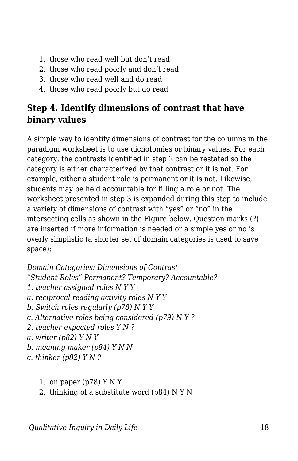- 1. those who read well but don't read
- 2. those who read poorly and don't read
- 3. those who read well and do read
- 4. those who read poorly but do read

#### **Step 4. Identify dimensions of contrast that have binary values**

A simple way to identify dimensions of contrast for the columns in the paradigm worksheet is to use dichotomies or binary values. For each category, the contrasts identified in step 2 can be restated so the category is either characterized by that contrast or it is not. For example, either a student role is permanent or it is not. Likewise, students may be held accountable for filling a role or not. The worksheet presented in step 3 is expanded during this step to include a variety of dimensions of contrast with "yes" or "no" in the intersecting cells as shown in the Figure below. Question marks (?) are inserted if more information is needed or a simple yes or no is overly simplistic (a shorter set of domain categories is used to save space):

#### *Domain Categories: Dimensions of Contrast*

*"Student Roles" Permanent? Temporary? Accountable?*

- *1. teacher assigned roles N Y Y*
- *a. reciprocal reading activity roles N Y Y*
- *b. Switch roles regularly (p78) N Y Y*
- *c. Alternative roles being considered (p79) N Y ?*
- *2. teacher expected roles Y N ?*
- *a. writer (p82) Y N Y*
- *b. meaning maker (p84) Y N N*
- *c. thinker (p82) Y N ?*
	- 1. on paper  $(p78)$  Y N Y
	- 2. thinking of a substitute word (p84) N Y N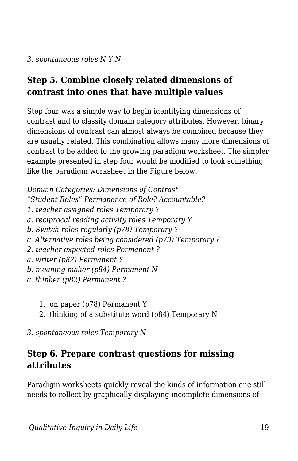### **Step 5. Combine closely related dimensions of contrast into ones that have multiple values**

Step four was a simple way to begin identifying dimensions of contrast and to classify domain category attributes. However, binary dimensions of contrast can almost always be combined because they are usually related. This combination allows many more dimensions of contrast to be added to the growing paradigm worksheet. The simpler example presented in step four would be modified to look something like the paradigm worksheet in the Figure below:

*Domain Categories: Dimensions of Contrast "Student Roles" Permanence of Role? Accountable? 1. teacher assigned roles Temporary Y a. reciprocal reading activity roles Temporary Y b. Switch roles regularly (p78) Temporary Y c. Alternative roles being considered (p79) Temporary ? 2. teacher expected roles Permanent ? a. writer (p82) Permanent Y b. meaning maker (p84) Permanent N c. thinker (p82) Permanent ?*

- 1. on paper (p78) Permanent Y
- 2. thinking of a substitute word (p84) Temporary N

*3. spontaneous roles Temporary N*

### **Step 6. Prepare contrast questions for missing attributes**

Paradigm worksheets quickly reveal the kinds of information one still needs to collect by graphically displaying incomplete dimensions of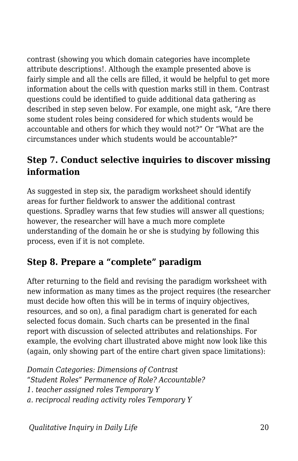contrast (showing you which domain categories have incomplete attribute descriptions!. Although the example presented above is fairly simple and all the cells are filled, it would be helpful to get more information about the cells with question marks still in them. Contrast questions could be identified to guide additional data gathering as described in step seven below. For example, one might ask, "Are there some student roles being considered for which students would be accountable and others for which they would not?" Or "What are the circumstances under which students would be accountable?"

#### **Step 7. Conduct selective inquiries to discover missing information**

As suggested in step six, the paradigm worksheet should identify areas for further fieldwork to answer the additional contrast questions. Spradley warns that few studies will answer all questions; however, the researcher will have a much more complete understanding of the domain he or she is studying by following this process, even if it is not complete.

#### **Step 8. Prepare a "complete" paradigm**

After returning to the field and revising the paradigm worksheet with new information as many times as the project requires (the researcher must decide how often this will be in terms of inquiry objectives, resources, and so on), a final paradigm chart is generated for each selected focus domain. Such charts can be presented in the final report with discussion of selected attributes and relationships. For example, the evolving chart illustrated above might now look like this (again, only showing part of the entire chart given space limitations):

*Domain Categories: Dimensions of Contrast "Student Roles" Permanence of Role? Accountable? 1. teacher assigned roles Temporary Y a. reciprocal reading activity roles Temporary Y*

*<u>Oualitative Inquiry in Daily Life</u> 20*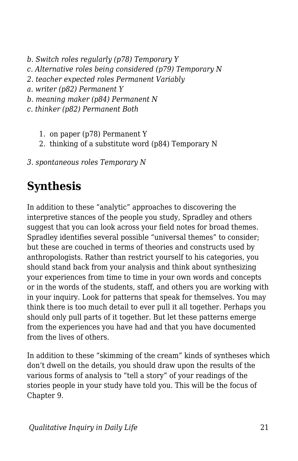- *b. Switch roles regularly (p78) Temporary Y*
- *c. Alternative roles being considered (p79) Temporary N*
- *2. teacher expected roles Permanent Variably*
- *a. writer (p82) Permanent Y*
- *b. meaning maker (p84) Permanent N*
- *c. thinker (p82) Permanent Both*
	- 1. on paper (p78) Permanent Y
	- 2. thinking of a substitute word (p84) Temporary N
- *3. spontaneous roles Temporary N*

## **Synthesis**

In addition to these "analytic" approaches to discovering the interpretive stances of the people you study, Spradley and others suggest that you can look across your field notes for broad themes. Spradley identifies several possible "universal themes" to consider; but these are couched in terms of theories and constructs used by anthropologists. Rather than restrict yourself to his categories, you should stand back from your analysis and think about synthesizing your experiences from time to time in your own words and concepts or in the words of the students, staff, and others you are working with in your inquiry. Look for patterns that speak for themselves. You may think there is too much detail to ever pull it all together. Perhaps you should only pull parts of it together. But let these patterns emerge from the experiences you have had and that you have documented from the lives of others.

In addition to these "skimming of the cream" kinds of syntheses which don't dwell on the details, you should draw upon the results of the various forms of analysis to "tell a story" of your readings of the stories people in your study have told you. This will be the focus of Chapter 9.